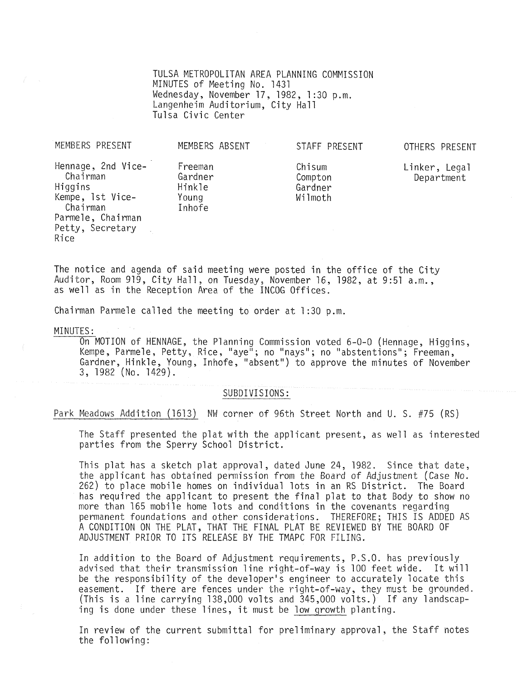TULSA METROPOLITAN AREA PLANNING COMMISSION MINUTES of Meeting No. 1431 Wednesday, November 17, 1982, 1:30 p.m.<br>Langenheim Auditorium, City Hall Tulsa Civic Center

| MEMBERS PRESENT                                                                                                    | MEMBERS ABSENT                                  | STAFF PRESENT                           | OTHERS PRESENT              |
|--------------------------------------------------------------------------------------------------------------------|-------------------------------------------------|-----------------------------------------|-----------------------------|
| Hennage, 2nd Vice-<br>Chairman<br>Higgins<br>Kempe, 1st Vice-<br>Chairman<br>Parmele, Chairman<br>Petty, Secretary | Freeman<br>Gardner<br>Hinkle<br>Young<br>Inhofe | Chisum<br>Compton<br>Gardner<br>Wilmoth | Linker, Legal<br>Department |

The notice and agenda of said meeting were posted in the office of the City Auditor, Room 919, City Hall, on Tuesday, November 16, 1982, at 9:51 a.m., as well as in the Reception Area of the INCOG Offices.

Chairman Parmele called the meeting to order at 1:30 p.m.

#### MINUTES:

Rice

On MOTION of HENNAGE, the Planning Commission voted 6-0-0 (Hennage, Higgins, Kempe, Parmele, Petty, Rice, "aye"; no "nays"; no "abstentions"; Freeman, Gardner, Hinkle, Young, Inhofe, "absent") to approve the minutes of November 3, 1982 (No. 1429).

#### SUBDIVISIONS:

Park Meadows Addition (1613) NW corner of 96th Street North and U. S.  $\#75$  (RS)

The Staff presented the plat with the applicant present, as well as interested parties from the Sperry School District.

This plat has a sketch plat approval, dated June 24,1982. Since that date, the applicant has obtained permission from the Board of Adjustment (Case No. 262) to place mobile homes on individual lots in an RS District. The Board has required the applicant to present the final plat to that Body to show no more than 165 mobile home lots and conditions in the covenants regarding permanent foundations and other considerations. THEREFORE; THIS IS ADDED AS A CONDITION ON THE PLAT, THAT THE FINAL PLAT BE REVIEWED BY THE BOARD OF ADJUSTMENT PRIOR TO ITS RELEASE BY THE TMAPC FOR FILING.

In addition to the Board of Adjustment requirements, P.S.O. has previously advised that their transmission line right-of-way is 100 feet wide. It will be the responsibility of the developer's engineer to accurately locate this easement. If there are fences under the right-of-way, they must be grounded.<br>(This is a line carrying 138,000 volts and 345,000 volts.) If any landscaping is done under these lines, it must be low growth planting.

In review of the current submittal for preliminary approval, the Staff notes the following: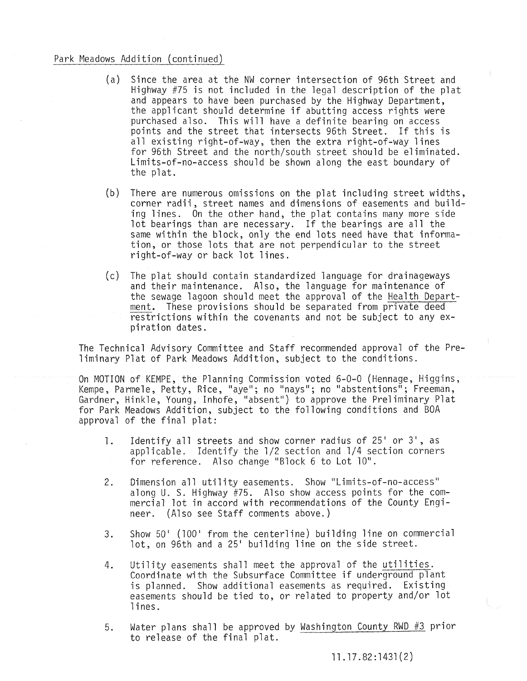## Park Meadows Addition (continued)

- (a) Since the area at the NW corner intersection of 96th Street and Highway #75 is not included in the legal description of the plat<br>and appears to have been purchased by the Highway Department, the applicant should determine if abutting access rights were purchased also. This will have a definite bearing on access points and the street that intersects 96th Street. If this is all existing right-of-way, then the extra right-of-way lines for 96th Street and the north/south street should be eliminated. Limits-of-no-access should be shown along the east boundary of the plat.
- (b) There are numerous omissions on the plat including street widths, corner radii, street names and dimensions of easements and building lines. On the other hand, the plat contains many more side lot bearings than are necessary. If the bearings are all the same within the block, only the end lots need have that information, or those lots that are not perpendicular to the street right-of-way or back lot lines.
- (c) The piat should contain standardized language for drainageways and their maintenance. Also, the language for maintenance of the sewage lagoon should meet the approval of the Health Department. These provisions should be separated from private deed restrictions within the covenants and not be subject to any expiration dates.

The Technical Advisory Committee and Staff recommended approval of the Preliminary Plat of Park Meadows Addition, subject to the conditions.

On MOTION of KEMPE, the Planning Commission voted 6-0-0 (Hennage, Higgins, Kempe, Parmele, Petty, Rice, "aye"; no "nays"; no "abstentions"; Freeman, Gardner, Hinkle, Young, Inhofe, "absent") to approve the Preliminary Plat for Park Meadows Addition, subject to the following conditions and BOA approval of the final plat:

- 1. Identify all streets and show corner radius of 25' or 3', as applicab1e. Identify the 1/2 section and 1/4 section corners for reference. Also change "Block 6 to Lot 10".
- 2. Dimension all utility easements. Show "Limits-of-no-access" along U. S. Highway #75. Also show access points for the commercial lot in accord with recommendations of the County Engineer. (Also see Staff comments above.)
- 3. Show 50' (100' from the centerline) building line on commercial lot, on 96th and a 25' building line on the side street.
- 4. Utility easements shall meet the approval of the utilities. Coordinate with the Subsurface Committee if underqround plant is planned. Show additional easements as required. Existing easements should be tied to, or related to property and/or lot lines.
- 5. Water plans shall be approved by Washington County RWD #3 prior to release of the final plat.

11 . 17 . 82 : 143l( 2 )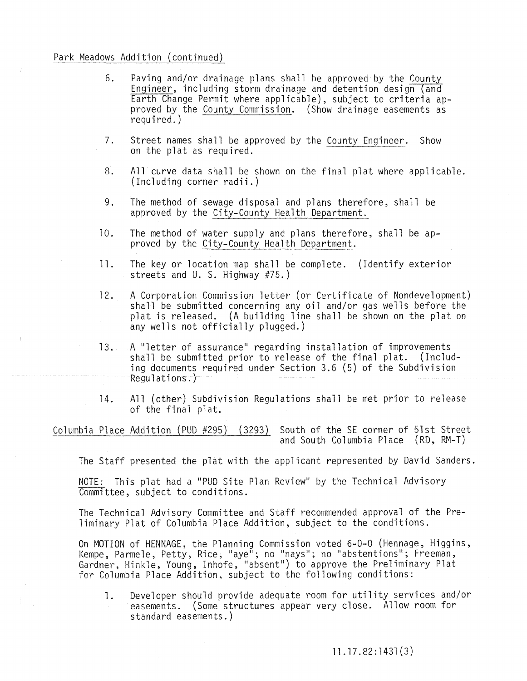## Park Meadows Addition (continued)

- 6. Paving and/or drainage plans shall be approved by the County Engineer, including storm drainage and detention design (and Earth Change Permit where applicable), subject to criteria approved by the County Commission. (Show drainage easements as required.)
- 7. Street names shall be approved by the County Engineer. Show on the plat as required.
- 8. All curve data shall be shown on the final plat where applicable. (Including corner radii.)
- 9. The method of sewage disposal and plans therefore, shall be approved by the City-County Health Department.
- 10. The method of water supply and plans therefore, shall be approved by the City-County Health Department.
- 11. The key or location map shall be complete. (Identify exterior streets and U. S. Highway #75.)
- 12. A Corporation Commission letter (or Certificate of Nondevelopment) shall be submitted concerning any oil and/or gas wells before the plat is released. (A building line shall be shown on the plat on any wells not officially plugged.)
- 13. A "letter of assurance" regarding installation of improvements shall be submitted prior to release of the final plat. (Including documents required under Section 3.6 (5) of the Subdivision Regulations.)
- 14. All (other) Subdivision Regulations shall be met prior to release of the final plat.

Columbia Place Addition (PUD #295) (3293) South of the SE corner of 51st Street and South Columbia Place (RD, RM-T)

The Staff presented the plat with the applicant represented by David Sanders.

NOTE: This plat had a "PUD Site Plan Review" by the Technical Advisory Committee, subject to conditions.

The Technical Advisory Committee and Staff recommended approval of the Preliminary Plat of Columbia Place Addition, subject to the conditions.

On MOTION of HENNAGE, the Planning Commission voted 6-0-0 (Hennage, Higgins, Kempe, Parmele, Petty, Rice, "aye"; no "nays"; no "abstentions"; Freeman, Gardner, Hinkle, Young, Inhofe, "absent") to approve the Preliminary Plat for Columbia Place Addition, subject to the following conditions:

1. Developer should provide adequate room for utility services and/or easements. (Some structures appear very close. Allow room for standard easements.)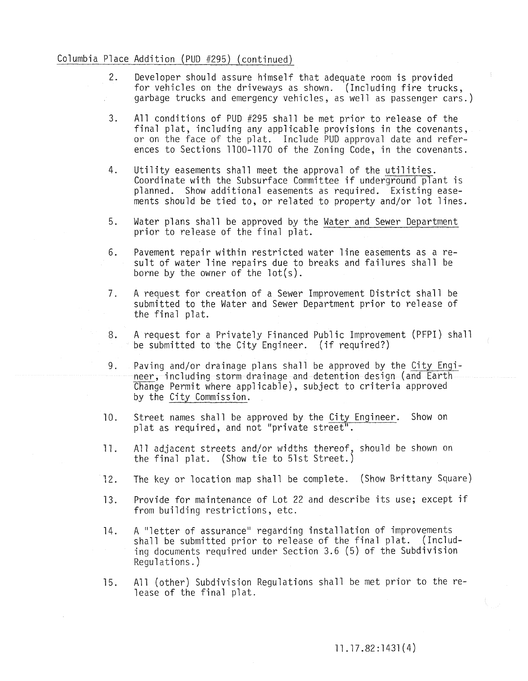## Columbia Place Addition (PUD #295) (continued)

- 2. Developer should assure himself that adequate room is provided for vehicles on the driveways as shown. (Including fire trucks, garbage trucks and emergency vehicles, as well as passenger cars.)
- 3. All conditions of PUD #295 shall be met prior to release of the final plat, including any applicable provisions in the covenants, or on the face of the plat. Include PUD approval date and references to Sections 1100-1170 of the Zoning Code, in the covenants.
- 4. Utility easements shall meet the approval of the utilities. Coordinate with the Subsurface Committee if underground plant is planned. Show additional easements as required. Existing easements should be tied to, or related to property and/or lot lines.
- 5. Water plans shall be approved by the Water and Sewer Department prior to release of the final plat.
- 6. Pavement repair within restricted water line easements as a result of water line repairs due to breaks and failures shall be borne by the owner of the lot(s).
- 7. A request for creation of a Sewer Improvement District shall be submitted to the Water and Sewer Department prior to release of the final plat.
- 8. A request for a Privately Financed Public Improvement (PFPI) shall be submitted to the City Engineer. (if required?)
- 9. Paving and/or drainage plans shall be approved by the City Engineer, including storm drainage and detention design (and Earth Change Permit where applicable), subject to criteria approved by the City Commission.
- 10. Street names shall be approved by the City Engineer. Show on plat as required, and not "private street".
- 11. All adjacent streets and/or widths thereof. should be shown on the final plat. (Show tie to 51st Street.)
- 12. The key or location map shall be complete. (Show Brittany Square)
- 13. Provide for maintenance of Lot 22 and describe its use; except if from building restrictions, etc.
- 14. A "letter of assurance" regarding installation of improvements<br>shall be submitted prior to release of the final plat. (Including documents required under Section 3.6 (5) of the Subdivision Regulations.)
- 15. All (other) Subdivision Regulations shall be met prior to the release of the final plat.

# 11. 17.82: 1431 (4)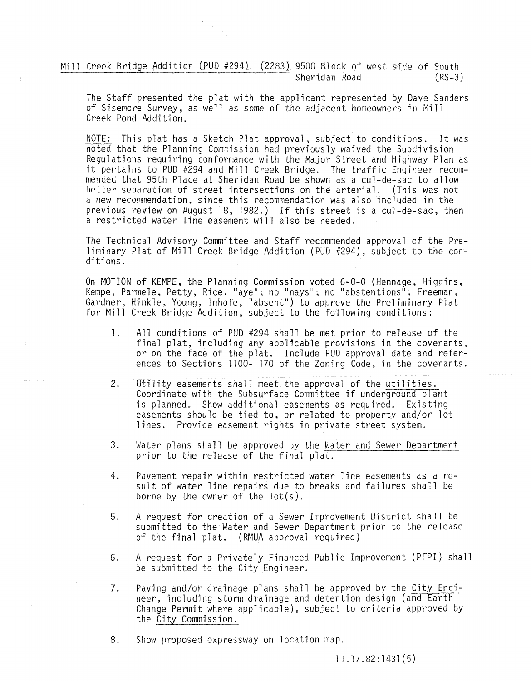Mill Creek Bridge Addition (PUD #294) (2283) 9500 Block of west side of South --------------------------------<br>(RS-3) Sheridan Road

The Staff presented the plat with the applicant represented by Dave Sanders of Sisemore Survey, as well as some of the adjacent homeowners in Mill Creek Pond Addition.

NOTE: This plat has a Sketch Plat approval, subject to conditions. It was noted that the Planning Commission had previously waived the Subdivision Regulations requiring conformance with the Major Street and Highway Plan as it pertains to PUD #294 and Mill Creek Bridge. The traffic Engineer recommended that 95th Place at Sheridan Road be shown as a cul-de-sac to allow better separation of street intersections on the arterial. (This was not a new recommendation, since this recommendation was also included in the previous review on August 18, 1982.) If this street is a cul-de-sac, then a restricted water line easement will also be needed.

The Technical Advisory Committee and Staff recommended approval of the Preliminary Plat of Mill Creek Bridge Addition (PUD #294), subject to the conditions.

On MOTION of KEMPE, the Planning Commission voted 6-0-0 (Hennage, Higgins, Kempe, Parmele, Petty, Rice, "aye"; no "nays"; no "abstentions"; Freeman, Gardner, Hinkle, Young, Inhofe, "absent") to approve the Preliminary Plat for Mill Creek Bridge Addition, subject to the following conditions:

- 1. All conditions of PUD #294 shall be met prior to release of the final plat, including any applicable provisions in the covenants, or on the face of the plat. Include PUD approval date and references to Sections 1100-1170 of the Zoning Code, in the covenants.
- 2. Utility easements shall meet the approval of the utilities. Coordinate with the Subsurface Committee if underground piant is planned. Show additional easements as required. Existing easements should be tied to, or related to property and/or lot lines. Provide easement rights in private street system.
- 3. Water plans shall be approved by the Water and Sewer Department prior to the release of the final plat.
- 4. Pavement repair within restricted water line easements as a result of water line repairs due to breaks and failures shall be borne by the owner of the 10t(s).
- 5. A request for creation of a Sewer Improvement District shall be submitted to the Water and Sewer Department prior to the release of the final plat. (RMUA approval required)
- 6. A request for a Privately Financed Public Improvement (PFPI) shall be submitted to the City Engineer.
- 7. Paving and/or drainage plans shall be approved by the City Engineer, including storm drainage and detention design (and Earth Change Permit where applicable), subject to criteria approved by the City Commission.
- 8. Show proposed expressway on location map.

11 . 17 . 82 : 1431 (5)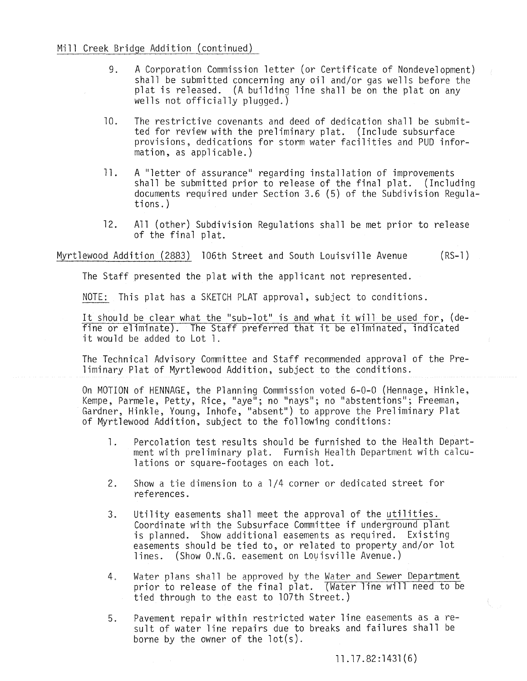- 9. A Corporation Commission letter (or Certificate of Nondevelopment) shall be submitted concerning any oil and/or gas wells before the plat is released. (A building line shall be on the plat on any wells not officially plugged.)
- 10. The restrictive covenants and deed of dedication shall be submitted for review with the preliminary plat. (Include subsurface provisions, dedications for storm water facilities and PUD information, as applicable.)
- 11. A "letter of assurance" regarding installation of improvements shall be submitted prior to release of the final plat. (Including documents required under Section 3.6 (5) of the Subdivision Regulations.)
- 12. All (other) Subdivision Regulations shall be met prior to release of the final plat.

Myrtlewood Addition (2883) 106th Street and South Louisville Avenue (RS-1)

The Staff presented the plat with the applicant not represented.

NOTE: This plat has a SKETCH PLAT approval, subject to conditions.

It should be clear what the "sub-lot" is and what it will be used for, (define or eliminate). The Staff preferred that it be eliminated, indicated it would be added to Lot 1.

The Technical Advisory Committee and Staff recommended approval of the Preliminary Plat of Myrtlewood Addition, subject to the conditions.

On MOTION of HENNAGE, the Planning Commission voted 6-0-0 (Hennage, Hinkle, Kempe, Parmele, Petty, Rice, "aye"; no "nays"; no "abstentions"; Freeman, Gardner, Hinkle, Young, Inhofe, "absent") to approve the Preliminary Plat of Myrtlewood Addition, subject to the following conditions:

- 1. Percolation test results should be furnished to the Health Department with preliminary plat. Furnish Health Department with calculations or square-footages on each lot.
- 2. Show a tie dimension to a 1/4 corner or dedicated street for references.
- 3. Utility easements shall meet the approval of the utilities.<br>Coordinate with the Subsurface Committee if underground plant is planned. Show additional easements as required. Existing easements should be tied to, or related to property and/or lot lines. (Show  $0.\mathbb{N}$ .G. easement on Louisville Avenue.)
- 4. Water plans shall be approved by the Water and Sewer Department prior to release of the final plat. (Water line will need to be tied throuqh to the east to 107th Street.)
- 5. Pavement repair within restricted water line easements as a result of water line repairs due to breaks and failures shall be borne by the owner of the lot(s).

11.17.82: 1431 (6)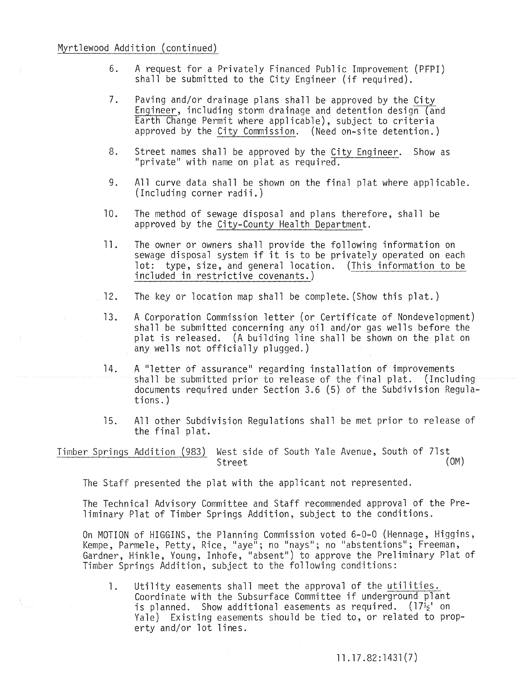- 6. A request for a Privately Financed Public Improvement (PFPI) shall be submitted to the City Engineer (if required).
- 7. Paving and/or drainage plans shall be approved by the City Engineer, including storm drainage and detention design  $\alpha$  and Earth Change Permit where applicable), subject to criteria approved by the City Commission. (Need on-site detention.)
- 8. Street names shall be approved by the City Engineer. Show as "private" with name on plat as required.
- 9. All curve data shall be shown on the final plat where applicable. (Including corner radii.)
- 10. The method of sewage disposal and plans therefore, shall be approved by the City-County Health Department.
- 11. The owner or owners shall provide the following information on sewage disposal system if it is to be privately operated on each lot: type, size, and general location. This information to be included in restrictive covenants.
- 12. The key or location map shall be complete. (Show this plat.)
- 13. A Corporation Commission letter (or Certificate of Nondevelopment) shall be submitted concerning any oil and/or gas wells before the plat is released. (A building line shall be shown on the plat on any wells not officially plugged.)
- 14. A "letter of assurance" regarding installation of improvements shall be submitted prior to release of the final plat. (Including documents required under Section 3.6 (5) of the Subdivision Regulations.)
- 15. All other Subdivision Regulations shall be met prior to release of the final plat.

Timber Springs Addition (983) West side of South Yale Avenue, South of 71st Street (OM)

The Staff presented the plat with the applicant not represented.

The Technical Advisory Committee and Staff recommended approval of the Preliminary Plat of Timber Springs Addition, subject to the conditions.

On MOTION of HIGGINS, the Planning Commission voted 6-0-0 (Hennage, Higgins, Kempe, Parmele, Petty, Rice, "aye"; no "nays"; no "abstentions"; Freeman, Gardner, Hinkle, Young, Inhofe, "absent") to approve the Preliminary Plat of Timber Springs Addition, subject to the following conditions:

1. Utility easements shall meet the approval of the utilities. Coordinate with the Subsurface Committee if underground plant is planned. Show additional easements as required.  $(17\frac{1}{2})$  on Yale) Existing easements should be tied to, or related to property and/or lot lines.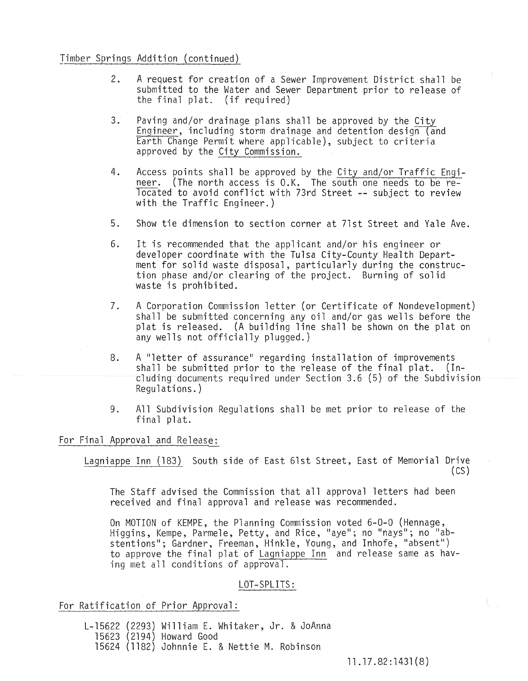## Timber Springs Addition (continued)

- 2. A request for creation of a Sewer Improvement District shall be submitted to the Water and Sewer Department prior to release of the final plat. (if required)
- 3. Paving and/or drainage plans shall be approved by the City Engineer, including storm drainage and detention design-[and Earth Change Permit where applicable), subject to criteria approved by the City Commission.
- 4. Access points shall be approved by the City and/or Traffic Engineer. (The north access is  $0.K.$  The south one needs to be relocated to avoid conflict with 73rd Street -- subject to review with the Traffic Engineer.)
- 5. Show tie dimension to section corner at 71st Street and Yale Ave.
- 6. It is recommended that the applicant and/or his engineer or developer coordinate with the Tulsa City-County Health Department for solid waste disposal, particularly during the construction phase and/or clearing of the project. Burning of solid waste is prohibited.
- 7. A Corporation Commission letter (or Certificate of Nondevelopment) shall be submitted concerning any oil and/or gas wells before the plat is released. (A building line shall be shown on the plat on any wells not officially plugged.)
- 8. A "letter of assurance" regarding installation of improvements shall be submitted prior to the release of the final plat. (Including documents required under Section 3.6 (5) of the Subdivision Regulations.)
- 9. All Subdivision Regulations shall be met prior to release of the final plat.

## For Final Approval and Release:

Lagniappe Inn (183) South side of East 61st Street, East of Memorial Drive (CS)

The Staff advised the Commission that all approval letters had been received and final approval and release was recommended.

On MOTION of KEMPE, the Planning Commission voted 6-0-0 (Hennage, Higgins, Kempe, Parmele, Petty, and Rice, "aye"; no "nays"; no "abstentions"; Gardner, Freeman, Hinkle, Young, and Inhofe, "absent") to approve the final plat of Lagniappe Inn and release same as having met all conditions of approval.

### LOT-SPLITS:

## For Ratification of Prior Approval:

L-15622 (2293) William E. Whitaker, Jr. & JoAnna 15623 (2194) Howard Good 15624 (1182) Johnnie E. & Nettie M. Robinson

11 . 17 . 82: 1431 (8)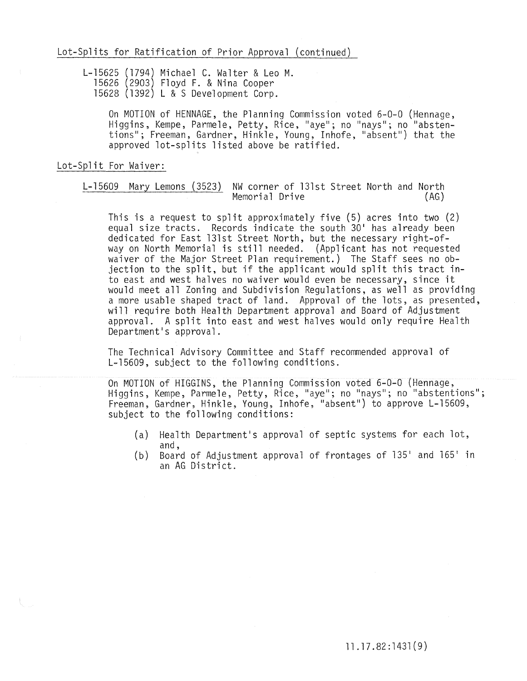L-15625 (1794) Michael C. Walter & Leo M. 15626 (2903) Floyd F. & Nina Cooper 15628 (1392) L & S Development Corp.

> On MOTION of HENNAGE, the Planning Commission voted 6-0-0 (Hennage, Higgins, Kempe, Parmele, Petty, Rice, "aye"; no "nays"; no "abstentions"; Freeman, Gardner, Hinkle, Young, Inhofe, "absent") that the approved lot-splits listed above be ratified.

Lot-Split For Waiver:

L-15609 Mary Lemons (3523) NW corner of l3lst Street North and North Memorial Drive

This is a request to split approximately five (5) acres into two (2) equal size tracts. Records indicate the south 30' has already been dedicated for East 131st Street North, but the necessary right-ofway on North Memorial is still needed. (Applicant has not requested waiver of the Major Street Plan requirement.) The Staff sees no objection to the split, but if the applicant would split this tract into east and west halves no waiver would even be necessary, since it would meet all Zoning and Subdivision Regulations, as well as providing a more usable shaped tract of land. Approval of the lots, as presented, will require both Health Department approval and Board of Adjustment approval. A split into east and west halves would only require Health Department's approval.

The Technical Advisory Committee and Staff recommended approval of L-15609, subject to the following conditions.

On MOTION of HIGGINS, the Planning Commission voted 6-0-0 (Hennage,<br>Higgins, Kempe, Parmele, Petty, Rice, "aye"; no "nays"; no "abstentions"; Freeman, Gardner, Hinkle, Young, Inhofe, "absent") to approve L-15609, subject to the following conditions:

- (a) Health Department's approval of septic systems for each lot, and,
- (b) Board of Adjustment approval of frontages of 135' and 165' in an AG District.

 $11.17.82:1431(9)$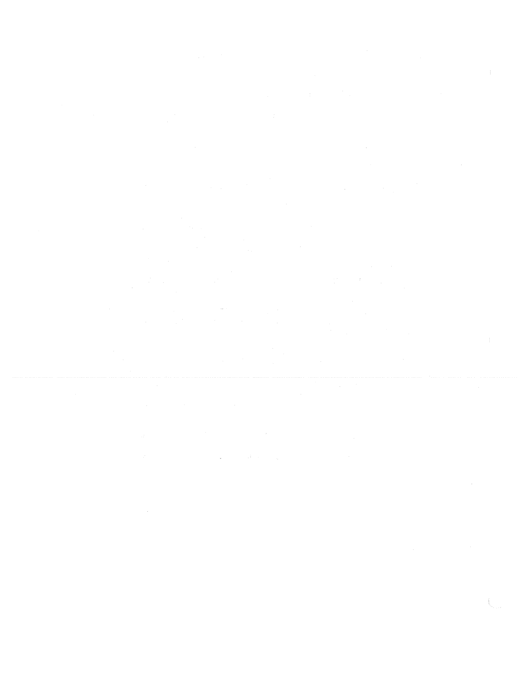$\label{eq:2.1} \mathcal{L}^{\mathcal{A}}_{\mathcal{A}}(\mathcal{A})=\mathcal{L}^{\mathcal{A}}_{\mathcal{A}}(\mathcal{A})=\mathcal{L}^{\mathcal{A}}_{\mathcal{A}}(\mathcal{A})=\mathcal{L}^{\mathcal{A}}_{\mathcal{A}}(\mathcal{A})=\mathcal{L}^{\mathcal{A}}_{\mathcal{A}}(\mathcal{A})=\mathcal{L}^{\mathcal{A}}_{\mathcal{A}}(\mathcal{A})=\mathcal{L}^{\mathcal{A}}_{\mathcal{A}}(\mathcal{A})=\mathcal{L}^{\mathcal{A}}_{\mathcal{A}}(\mathcal{A})=\mathcal$ 

 $\mathcal{A}_{\mathcal{A}}$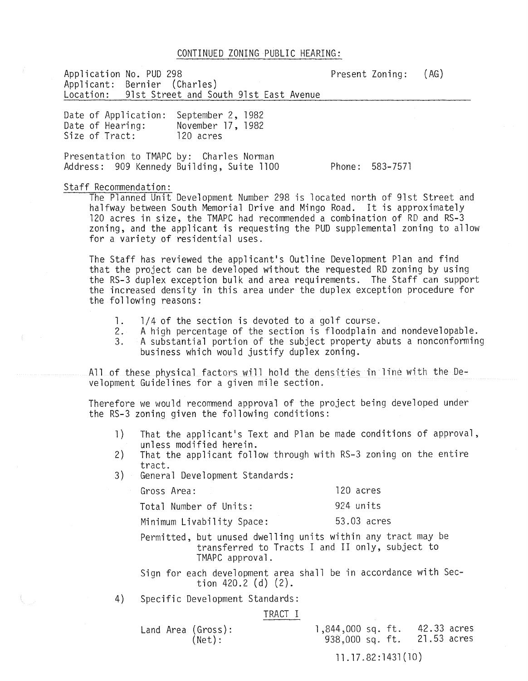## CONTINUED ZONING PUBLIC HEARING:

Application No. PUD 298 Present Zoning: (AG) Applicant: Bernier (Charles)<br>Location: 91st Street and Sou 91st Street and South 91st East Avenue

Date of Application: September 2, 1982 Date of Hearing: Size of Tract: November 17,1982 120 acres

Presentation to TMAPC by: Charles Norman Address: 909 Kennedy Building, Suite 1100

Phone: 583-7571

### Staff Recommendation:

The Planned Unit Development Number 298 is located north of 91st Street and halfway between South Memorial Drive and Mingo Road. It is approximately 120 acres in size, the TMAPC had recommended a combination of RD and RS-3 zoning, and the applicant is requesting the PUD supplemental zoning to allow for a variety of residential uses.

The Staff has reviewed the applicant's Outline Development Plan and find that the project can be developed without the requested RD zoning by using the RS-3 duplex exception bulk and area requirements. The Staff can support the increased density in this area under the duplex exception procedure for the following reasons:

- 
- 1. 1/4 of the section is devoted to a golf course.<br>2. A high percentage of the section is floodplain and nondevelopable.
- 3. A substantial portion of the subject property abuts a nonconforming business which would justify duplex zoning.

All of these physical factors will hold the densities in line with the Development Guidelines for a given mile section.

Therefore we would recommend approval of the project being developed under the RS-3 zoning given the following conditions:

- 1) That the applicant's Text and Plan be made conditions of approval, unless modified herein.
- 2) That the applicant follow through with RS-3 zoning on the entire tract.
- 3) General Development Standards:

|  | Gross Area:            |  |  | 120 acres |
|--|------------------------|--|--|-----------|
|  | Total Number of Units: |  |  | 924 units |

Minimum Livability Space: 53.03 acres

Permitted, but unused dwelling units within any tract may be transferred to Tracts I and II only, subject to TMAPC approval.

Sign for each development area shall be in accordance with Section 420.2 (d) (2).

4) Specific Development Standards:

#### TRACT I

| Land Area (Gross):<br>(Net): | 1,844,000 sq. ft. 42.33 acres<br>938,000 sq. ft. 21.53 acres |  |
|------------------------------|--------------------------------------------------------------|--|
|                              |                                                              |  |

11.17.82:1431(10)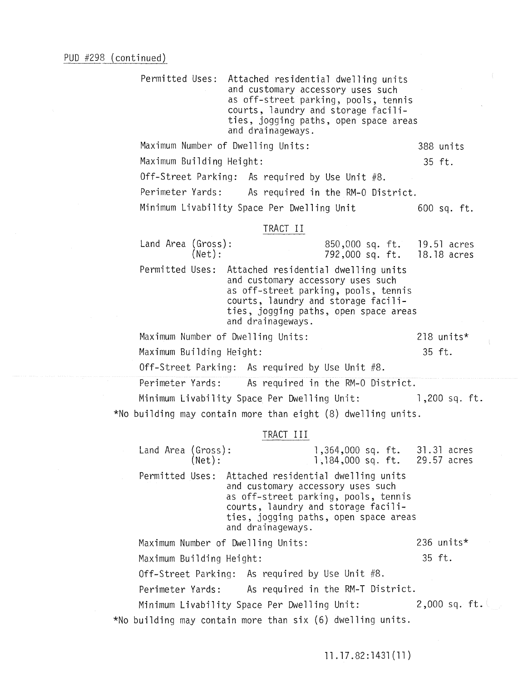Permitted Uses: Attached residential dwelling units and customary accessory uses such as off-street parking, pools, tennis courts, laundry and storage facilities, jogging paths, open space areas and drainageways. Maximum Number of Dwelling Units: 388 units Maximum Building Height: 35 ft. Off-Street Parking: As required by Use Unit #8. Perimeter Yards: As required in the RM-O District. Minimum Livability Space Per Dwelling Unit 600 sq. ft. Land Area (Gross): (Net) : TRACT II 850,000 sq. ft. 792,000 sq. ft. Permitted Uses: Attached residential dwellinq units and customary accessory uses such as off-street parking, pools, tennis courts, laundry and storage facilities, jogging paths, open space areas and drainageways. 19.51 acres 18.18 acres Maximum Number of Dwelling Units: 218 units\* Maximum Building Height: 35 ft. Off-Street Parking: As required by Use Unit #8. Perimeter Yards: As required in the RM-O District. Minimum Livability Space Per Dwelling Unit: 1,200 sq. ft. \*No building may contain more than eight (8) dwelling units. Land Area (Gross): (Net) : TRACT I II 1,364,000 sq. ft. <sup>1</sup>,184,000 sq. ft. Permitted Uses: Attached residential dwelling units and customary accessory uses such as off-street parking, pools, tennis courts, laundry and storage facilities, jogging paths, open space areas and drainageways. 31.31 acres 29.57 acres Maximum Number of Dwelling Units: 236 units\* Maximum Building Height: 35 ft. Off-Street Parking: As required by Use Unit #8. Perimeter Yards: As required in the RM-T District. Minimum Livability Space Per Dwelling Unit: 2,000 sq. ft. \*No building may contain more than six (6) dwelling units.

11 . 17.82: 1431 (11 )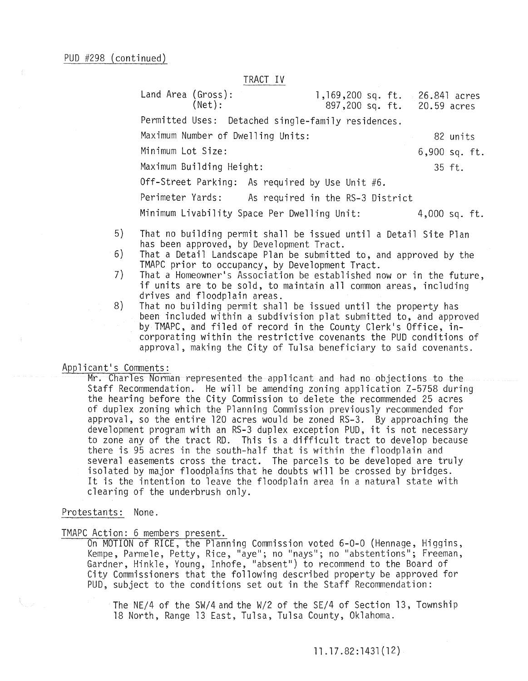TRACT IV

| Land Area (Gross):<br>(Net):                       | 1,169,200 sq. ft. 26.841 acres<br>897,200 sq. ft. 20.59 acres |  |  |  |  |
|----------------------------------------------------|---------------------------------------------------------------|--|--|--|--|
| Permitted Uses: Detached single-family residences. |                                                               |  |  |  |  |
| Maximum Number of Dwelling Units:                  | 82 units                                                      |  |  |  |  |
| Minimum Lot Size:                                  | 6,900 sq. ft.                                                 |  |  |  |  |
| Maximum Building Height:                           | 35 ft.                                                        |  |  |  |  |
| Off-Street Parking: As required by Use Unit #6.    |                                                               |  |  |  |  |
| Perimeter Yards: As required in the RS-3 District  |                                                               |  |  |  |  |
| Minimum Livability Space Per Dwelling Unit:        | 4,000 sq. ft.                                                 |  |  |  |  |

- 5) That no building permit shall be issued until a Detail Site Plan has been approved, by Development Tract.
- 6) That a Detail Landscape Plan be submitted to, and approved by the TMAPC prior to occupancy, by Development Tract.
- 7) That a Homeowner's Association be established now or in the future, if units are to be sold, to maintain all common areas, including drives and floodplain areas.
- 8) That no building permit shall be issued until the property has been included within a subdivision plat submitted to, and approved by TMAPC, and filed of record in the County Clerk's Office, **in**corporating within the restrictive covenants the PUD conditions of approval, making the City of Tulsa beneficiary to said covenants.

Applicant's Comments:

Mr. Charles Norman represented the applicant and had no objections to the the staff Recommendation. He will be amending zoning application Z-5758 during the hearing before the City Commission to delete the recommended 25 acres of duplex zoning which the Planning Commission previously recommended for approval, so the entire 120 acres would be zoned RS-3. By approaching the development program with an RS-3 duplex exception PUD, it is not necessary to zone any of the tract RD. This is a difficult tract to develop because there is 95 acres in the south-half that is within the floodplain and<br>several easements cross the tract. The parcels to be developed are truly isolated by major floodplains that he doubts will be crossed by bridges. **It is the intention to leave the floodplain area in a natural state with**  clearing of the underbrush only.

### Protestants: None.

TMAPC Action: 6 members present.

On MOTION of RICE, the Planning Commission voted 6-0-0 (Hennage, Higgins, Kempe, Parmele, Petty, Rice, "aye"; no "nays"; no "abstentions"; Freeman, Gardner, Hinkle, Young, Inhofe, "absent") to recommend to the Board of City Commissioners that the following described property be approved for PUD, subject to the conditions set out in the Staff Recommendation:

The NE/4 of the SW/4 and the W/2 of the SE/4 of Section 13, Township 18 North, Range 13 East, Tulsa, Tulsa County, Oklahoma.

 $11.17.82:1431(12)$